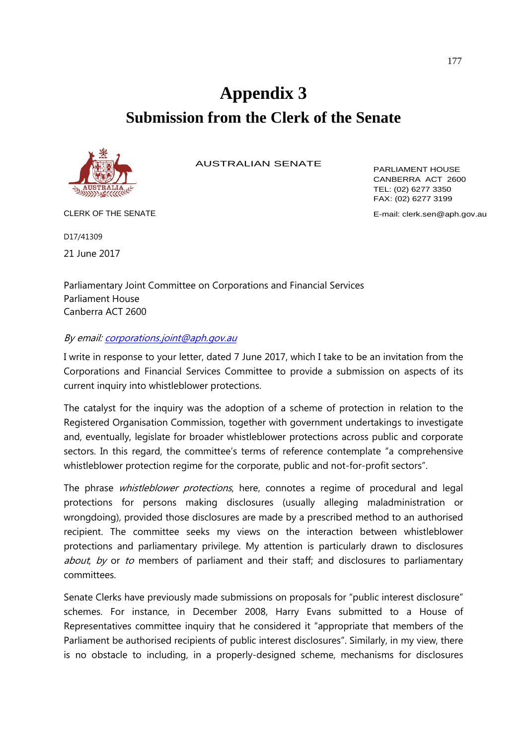# **Appendix 3 Submission from the Clerk of the Senate**



AUSTRALIAN SENATE

PARLIAMENT HOUSE CANBERRA ACT 2600 TEL: (02) 6277 3350 FAX: (02) 6277 3199

CLERK OF THE SENATE **EXAMPLE** CLERK OF THE SENATE

D17/41309

21 June 2017

Parliamentary Joint Committee on Corporations and Financial Services Parliament House Canberra ACT 2600

## By email[: corporations.joint@aph.gov.au](mailto:corporations.joint@aph.gov.au)

I write in response to your letter, dated 7 June 2017, which I take to be an invitation from the Corporations and Financial Services Committee to provide a submission on aspects of its current inquiry into whistleblower protections.

The catalyst for the inquiry was the adoption of a scheme of protection in relation to the Registered Organisation Commission, together with government undertakings to investigate and, eventually, legislate for broader whistleblower protections across public and corporate sectors. In this regard, the committee's terms of reference contemplate "a comprehensive whistleblower protection regime for the corporate, public and not-for-profit sectors".

The phrase whistleblower protections, here, connotes a regime of procedural and legal protections for persons making disclosures (usually alleging maladministration or wrongdoing), provided those disclosures are made by a prescribed method to an authorised recipient. The committee seeks my views on the interaction between whistleblower protections and parliamentary privilege. My attention is particularly drawn to disclosures about, by or to members of parliament and their staff; and disclosures to parliamentary committees.

Senate Clerks have previously made submissions on proposals for "public interest disclosure" schemes. For instance, in December 2008, Harry Evans submitted to a House of Representatives committee inquiry that he considered it "appropriate that members of the Parliament be authorised recipients of public interest disclosures". Similarly, in my view, there is no obstacle to including, in a properly-designed scheme, mechanisms for disclosures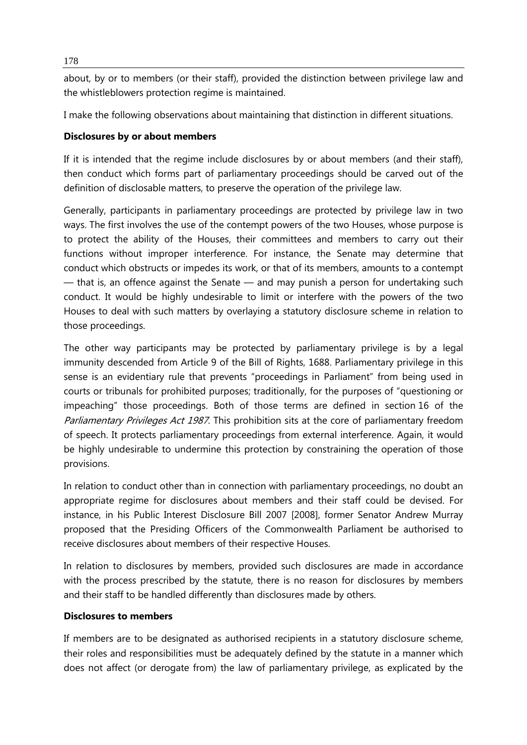about, by or to members (or their staff), provided the distinction between privilege law and the whistleblowers protection regime is maintained.

I make the following observations about maintaining that distinction in different situations.

## **Disclosures by or about members**

If it is intended that the regime include disclosures by or about members (and their staff), then conduct which forms part of parliamentary proceedings should be carved out of the definition of disclosable matters, to preserve the operation of the privilege law.

Generally, participants in parliamentary proceedings are protected by privilege law in two ways. The first involves the use of the contempt powers of the two Houses, whose purpose is to protect the ability of the Houses, their committees and members to carry out their functions without improper interference. For instance, the Senate may determine that conduct which obstructs or impedes its work, or that of its members, amounts to a contempt  $-$  that is, an offence against the Senate  $-$  and may punish a person for undertaking such conduct. It would be highly undesirable to limit or interfere with the powers of the two Houses to deal with such matters by overlaying a statutory disclosure scheme in relation to those proceedings.

The other way participants may be protected by parliamentary privilege is by a legal immunity descended from Article 9 of the Bill of Rights, 1688. Parliamentary privilege in this sense is an evidentiary rule that prevents "proceedings in Parliament" from being used in courts or tribunals for prohibited purposes; traditionally, for the purposes of "questioning or impeaching" those proceedings. Both of those terms are defined in section 16 of the Parliamentary Privileges Act 1987. This prohibition sits at the core of parliamentary freedom of speech. It protects parliamentary proceedings from external interference. Again, it would be highly undesirable to undermine this protection by constraining the operation of those provisions.

In relation to conduct other than in connection with parliamentary proceedings, no doubt an appropriate regime for disclosures about members and their staff could be devised. For instance, in his Public Interest Disclosure Bill 2007 [2008], former Senator Andrew Murray proposed that the Presiding Officers of the Commonwealth Parliament be authorised to receive disclosures about members of their respective Houses.

In relation to disclosures by members, provided such disclosures are made in accordance with the process prescribed by the statute, there is no reason for disclosures by members and their staff to be handled differently than disclosures made by others.

#### **Disclosures to members**

If members are to be designated as authorised recipients in a statutory disclosure scheme, their roles and responsibilities must be adequately defined by the statute in a manner which does not affect (or derogate from) the law of parliamentary privilege, as explicated by the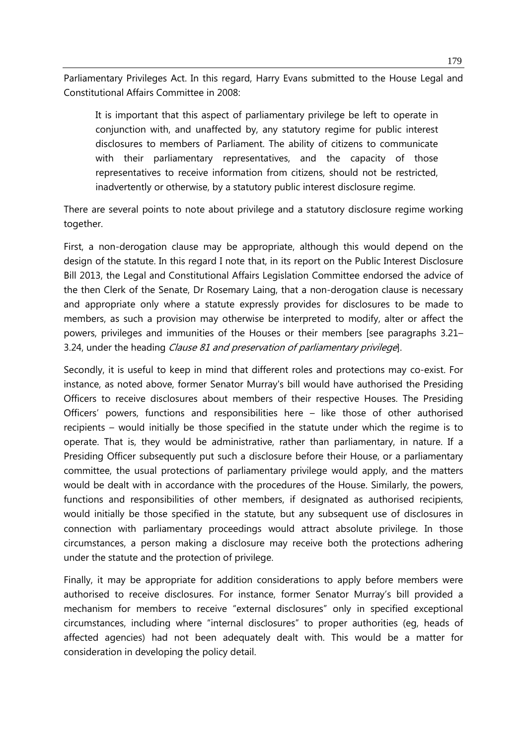Parliamentary Privileges Act. In this regard, Harry Evans submitted to the House Legal and Constitutional Affairs Committee in 2008:

It is important that this aspect of parliamentary privilege be left to operate in conjunction with, and unaffected by, any statutory regime for public interest disclosures to members of Parliament. The ability of citizens to communicate with their parliamentary representatives, and the capacity of those representatives to receive information from citizens, should not be restricted, inadvertently or otherwise, by a statutory public interest disclosure regime.

There are several points to note about privilege and a statutory disclosure regime working together.

First, a non-derogation clause may be appropriate, although this would depend on the design of the statute. In this regard I note that, in its report on the Public Interest Disclosure Bill 2013, the Legal and Constitutional Affairs Legislation Committee endorsed the advice of the then Clerk of the Senate, Dr Rosemary Laing, that a non-derogation clause is necessary and appropriate only where a statute expressly provides for disclosures to be made to members, as such a provision may otherwise be interpreted to modify, alter or affect the powers, privileges and immunities of the Houses or their members [see paragraphs 3.21– 3.24, under the heading Clause 81 and preservation of parliamentary privilege.

Secondly, it is useful to keep in mind that different roles and protections may co-exist. For instance, as noted above, former Senator Murray's bill would have authorised the Presiding Officers to receive disclosures about members of their respective Houses. The Presiding Officers' powers, functions and responsibilities here – like those of other authorised recipients – would initially be those specified in the statute under which the regime is to operate. That is, they would be administrative, rather than parliamentary, in nature. If a Presiding Officer subsequently put such a disclosure before their House, or a parliamentary committee, the usual protections of parliamentary privilege would apply, and the matters would be dealt with in accordance with the procedures of the House. Similarly, the powers, functions and responsibilities of other members, if designated as authorised recipients, would initially be those specified in the statute, but any subsequent use of disclosures in connection with parliamentary proceedings would attract absolute privilege. In those circumstances, a person making a disclosure may receive both the protections adhering under the statute and the protection of privilege.

Finally, it may be appropriate for addition considerations to apply before members were authorised to receive disclosures. For instance, former Senator Murray's bill provided a mechanism for members to receive "external disclosures" only in specified exceptional circumstances, including where "internal disclosures" to proper authorities (eg, heads of affected agencies) had not been adequately dealt with. This would be a matter for consideration in developing the policy detail.